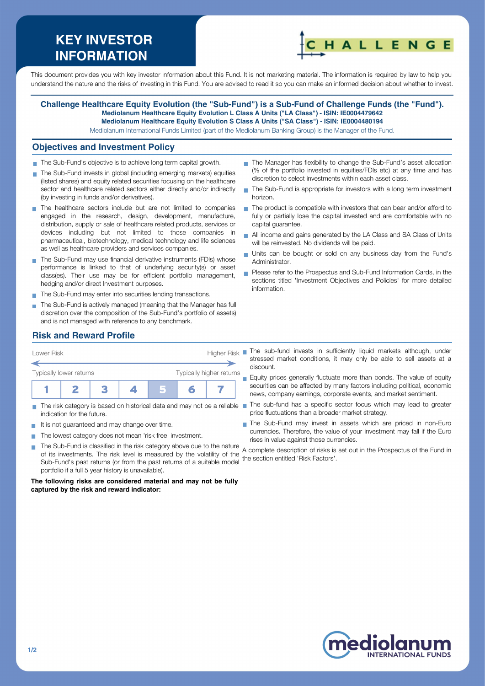# **KEY INVESTOR INFORMATION**



This document provides you with key investor information about this Fund. It is not marketing material. The information is required by law to help you understand the nature and the risks of investing in this Fund. You are advised to read it so you can make an informed decision about whether to invest.

#### **Challenge Healthcare Equity Evolution (the "Sub-Fund") is a Sub-Fund of Challenge Funds (the "Fund"). Mediolanum Healthcare Equity Evolution L Class A Units ("LA Class") - ISIN: IE0004479642 Mediolanum Healthcare Equity Evolution S Class A Units ("SA Class") - ISIN: IE0004480194**

Mediolanum International Funds Limited (part of the Mediolanum Banking Group) is the Manager of the Fund.

## **Objectives and Investment Policy**

- The Sub-Fund's objective is to achieve long term capital growth.
- The Sub-Fund invests in global (including emerging markets) equities (listed shares) and equity related securities focusing on the healthcare sector and healthcare related sectors either directly and/or indirectly (by investing in funds and/or derivatives).
- The healthcare sectors include but are not limited to companies engaged in the research, design, development, manufacture, distribution, supply or sale of healthcare related products, services or devices including but not limited to those companies in pharmaceutical, biotechnology, medical technology and life sciences as well as healthcare providers and services companies.
- The Sub-Fund may use financial derivative instruments (FDIs) whose performance is linked to that of underlying security(s) or asset class(es). Their use may be for efficient portfolio management, hedging and/or direct Investment purposes.
- The Sub-Fund may enter into securities lending transactions.
- The Sub-Fund is actively managed (meaning that the Manager has full discretion over the composition of the Sub-Fund's portfolio of assets) and is not managed with reference to any benchmark.
- The Manager has flexibility to change the Sub-Fund's asset allocation (% of the portfolio invested in equities/FDIs etc) at any time and has discretion to select investments within each asset class.
- The Sub-Fund is appropriate for investors with a long term investment  $\mathcal{L}_{\mathcal{A}}$ horizon.
- $\blacksquare$  The product is compatible with investors that can bear and/or afford to fully or partially lose the capital invested and are comfortable with no capital guarantee.
- All income and gains generated by the LA Class and SA Class of Units will be reinvested. No dividends will be paid.
- Units can be bought or sold on any business day from the Fund's Administrator.
- Please refer to the Prospectus and Sub-Fund Information Cards, in the sections titled 'Investment Objectives and Policies' for more detailed information.

## **Risk and Reward Profile**



- indication for the future.
- It is not quaranteed and may change over time.
- The lowest category does not mean 'risk free' investment.  $\mathcal{L}_{\mathcal{A}}$ 
	- The Sub-Fund is classified in the risk category above due to the nature of its investments. The risk level is measured by the volatility of the Sub-Fund's past returns (or from the past returns of a suitable model portfolio if a full 5 year history is unavailable). the section entitled 'Risk Factors'.

**The following risks are considered material and may not be fully captured by the risk and reward indicator:**

stressed market conditions, it may only be able to sell assets at a discount.

**Equity prices generally fluctuate more than bonds. The value of equity** securities can be affected by many factors including political, economic news, company earnings, corporate events, and market sentiment.

- The risk category is based on historical data and may not be a reliable The sub-fund has a specific sector focus which may lead to greater price fluctuations than a broader market strategy.
	- The Sub-Fund may invest in assets which are priced in non-Euro currencies. Therefore, the value of your investment may fall if the Euro rises in value against those currencies.

A complete description of risks is set out in the Prospectus of the Fund in



**T**